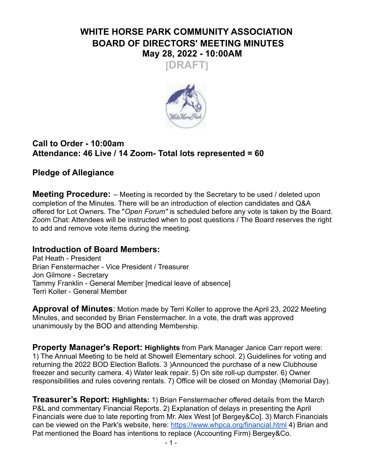# **WHITE HORSE PARK COMMUNITY ASSOCIATION BOARD OF DIRECTORS' MEETING MINUTES May 28, 2022 - 10:00AM**





### **Call to Order - 10:00am Attendance: 46 Live / 14 Zoom- Total lots represented = 60**

## **Pledge of Allegiance**

**Meeting Procedure:** – Meeting is recorded by the Secretary to be used / deleted upon completion of the Minutes. There will be an introduction of election candidates and Q&A offered for Lot Owners. The "*Open Forum"* is scheduled before any vote is taken by the Board. Zoom Chat: Attendees will be instructed when to post questions / The Board reserves the right to add and remove vote items during the meeting.

## **Introduction of Board Members:**

Pat Heath - President Brian Fenstermacher - Vice President / Treasurer Jon Gilmore - Secretary Tammy Franklin - General Member [medical leave of absence] Terri Koller - General Member

**Approval of Minutes**: Motion made by Terri Koller to approve the April 23, 2022 Meeting Minutes, and seconded by Brian Fenstermacher. In a vote, the draft was approved unanimously by the BOD and attending Membership.

**Property Manager's Report: Highlights** from Park Manager Janice Carr report were: 1) The Annual Meeting to be held at Showell Elementary school. 2) Guidelines for voting and returning the 2022 BOD Election Ballots. 3 )Announced the purchase of a new Clubhouse freezer and security camera. 4) Water leak repair. 5) On site roll-up dumpster. 6) Owner responsibilities and rules covering rentals. 7) Office will be closed on Monday (Memorial Day).

**Treasurer's Report: Highlights:** 1) Brian Fenstermacher offered details from the March P&L and commentary Financial Reports. 2) Explanation of delays in presenting the April Financials were due to late reporting from Mr. Alex West [of Bergey&Co]. 3) March Financials can be viewed on the Park's website, here: <https://www.whpca.org/financial.html> 4) Brian and Pat mentioned the Board has intentions to replace (Accounting Firm) Bergey&Co.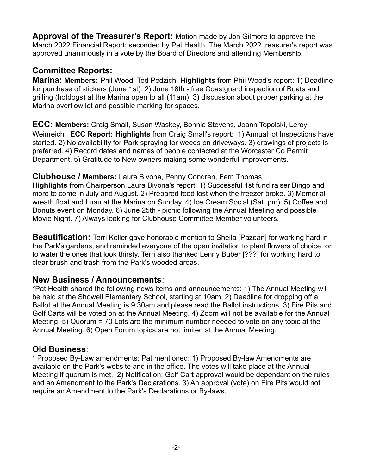**Approval of the Treasurer's Report:** Motion made by Jon Gilmore to approve the March 2022 Financial Report; seconded by Pat Health. The March 2022 treasurer's report was approved unanimously in a vote by the Board of Directors and attending Membership.

### **Committee Reports:**

**Marina: Members:** Phil Wood, Ted Pedzich. **Highlights** from Phil Wood's report: 1) Deadline for purchase of stickers (June 1st). 2) June 18th - free Coastguard inspection of Boats and grilling (hotdogs) at the Marina open to all (11am). 3) discussion about proper parking at the Marina overflow lot and possible marking for spaces.

**ECC: Members:** Craig Small, Susan Waskey, Bonnie Stevens, Joann Topolski, Leroy Weinreich. **ECC Report: Highlights** from Craig Small's report: 1) Annual lot Inspections have started. 2) No availability for Park spraying for weeds on driveways. 3) drawings of projects is preferred. 4) Record dates and names of people contacted at the Worcester Co Permit Department. 5) Gratitude to New owners making some wonderful improvements.

#### **Clubhouse / Members:** Laura Bivona, Penny Condren, Fern Thomas.

**Highlights** from Chairperson Laura Bivona's report: 1) Successful 1st fund raiser Bingo and more to come in July and August. 2) Prepared food lost when the freezer broke. 3) Memorial wreath float and Luau at the Marina on Sunday. 4) Ice Cream Social (Sat. pm). 5) Coffee and Donuts event on Monday. 6) June 25th - picnic following the Annual Meeting and possible Movie Night. 7) Always looking for Clubhouse Committee Member volunteers.

**Beautification:** Terri Koller gave honorable mention to Sheila [Pazdan] for working hard in the Park's gardens, and reminded everyone of the open invitation to plant flowers of choice, or to water the ones that look thirsty. Terri also thanked Lenny Buber [???] for working hard to clear brush and trash from the Park's wooded areas.

### **New Business / Announcements**:

\*Pat Health shared the following news items and announcements: 1) The Annual Meeting will be held at the Showell Elementary School, starting at 10am. 2) Deadline for dropping off a Ballot at the Annual Meeting is 9:30am and please read the Ballot instructions. 3) Fire Pits and Golf Carts will be voted on at the Annual Meeting. 4) Zoom will not be available for the Annual Meeting. 5) Quorum = 70 Lots are the minimum number needed to vote on any topic at the Annual Meeting. 6) Open Forum topics are not limited at the Annual Meeting.

### **Old Business**:

\* Proposed By-Law amendments: Pat mentioned: 1) Proposed By-law Amendments are available on the Park's website and in the office. The votes will take place at the Annual Meeting if quorum is met. 2) Notification: Golf Cart approval would be dependant on the rules and an Amendment to the Park's Declarations. 3) An approval (vote) on Fire Pits would not require an Amendment to the Park's Declarations or By-laws.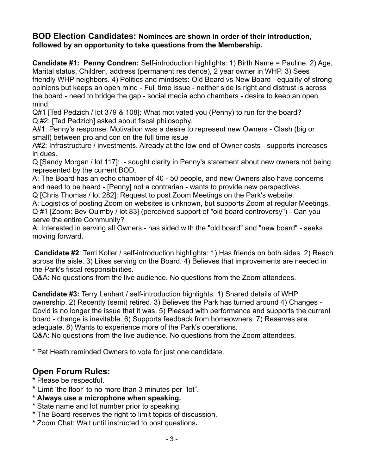#### **BOD Election Candidates: Nominees are shown in order of their introduction, followed by an opportunity to take questions from the Membership.**

**Candidate #1: Penny Condren:** Self-introduction highlights: 1) Birth Name = Pauline. 2) Age, Marital status, Children, address (permanent residence), 2 year owner in WHP. 3) Sees friendly WHP neighbors. 4) Politics and mindsets: Old Board vs New Board - equality of strong opinions but keeps an open mind - Full time issue - neither side is right and distrust is across the board - need to bridge the gap - social media echo chambers - desire to keep an open mind.

Q#1 [Ted Pedzich / lot 379 & 108]: What motivated you (Penny) to run for the board? Q:#2: [Ted Pedzich] asked about fiscal philosophy.

A#1: Penny's response: Motivation was a desire to represent new Owners - Clash (big or small) between pro and con on the full time issue

A#2: Infrastructure / investments. Already at the low end of Owner costs - supports increases in dues.

Q [Sandy Morgan / lot 117]: - sought clarity in Penny's statement about new owners not being represented by the current BOD.

A: The Board has an echo chamber of 40 - 50 people, and new Owners also have concerns and need to be heard - [Penny] not a contrarian - wants to provide new perspectives.

Q [Chris Thomas / lot 282]: Request to post Zoom Meetings on the Park's website.

A: Logistics of posting Zoom on websites is unknown, but supports Zoom at regular Meetings. Q #1 [Zoom: Bev Quimby / lot 83] (perceived support of "old board controversy") - Can you serve the entire Community?

A: Interested in serving all Owners - has sided with the "old board" and "new board" - seeks moving forward.

**Candidate #2**: Terri Koller / self-introduction highlights: 1) Has friends on both sides. 2) Reach across the aisle. 3) Likes serving on the Board. 4) Believes that improvements are needed in the Park's fiscal responsibilities.

Q&A: No questions from the live audience. No questions from the Zoom attendees.

**Candidate #3:** Terry Lenhart / self-introduction highlights: 1) Shared details of WHP ownership. 2) Recently (semi) retired. 3) Believes the Park has turned around 4) Changes - Covid is no longer the issue that it was. 5) Pleased with performance and supports the current board - change is inevitable. 6) Supports feedback from homeowners. 7) Reserves are adequate. 8) Wants to experience more of the Park's operations.

Q&A: No questions from the live audience. No questions from the Zoom attendees.

\* Pat Heath reminded Owners to vote for just one candidate.

## **Open Forum Rules:**

- **\*** Please be respectful.
- **\*** Limit 'the floor' to no more than 3 minutes per "lot".
- **\* Always use a microphone when speaking.**
- \* State name and lot number prior to speaking.
- \* The Board reserves the right to limit topics of discussion.
- **\*** Zoom Chat: Wait until instructed to post questions**.**